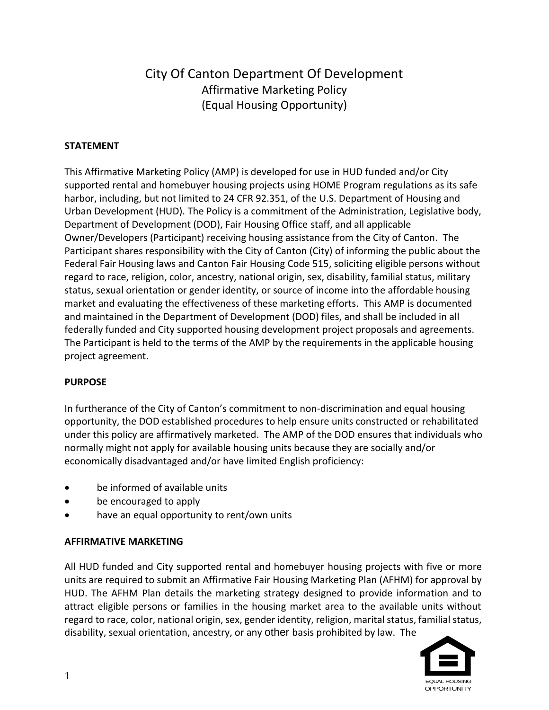# City Of Canton Department Of Development Affirmative Marketing Policy (Equal Housing Opportunity)

# **STATEMENT**

This Affirmative Marketing Policy (AMP) is developed for use in HUD funded and/or City supported rental and homebuyer housing projects using HOME Program regulations as its safe harbor, including, but not limited to 24 CFR 92.351, of the U.S. Department of Housing and Urban Development (HUD). The Policy is a commitment of the Administration, Legislative body, Department of Development (DOD), Fair Housing Office staff, and all applicable Owner/Developers (Participant) receiving housing assistance from the City of Canton. The Participant shares responsibility with the City of Canton (City) of informing the public about the Federal Fair Housing laws and Canton Fair Housing Code 515, soliciting eligible persons without regard to race, religion, color, ancestry, national origin, sex, disability, familial status, military status, sexual orientation or gender identity, or source of income into the affordable housing market and evaluating the effectiveness of these marketing efforts. This AMP is documented and maintained in the Department of Development (DOD) files, and shall be included in all federally funded and City supported housing development project proposals and agreements. The Participant is held to the terms of the AMP by the requirements in the applicable housing project agreement.

# **PURPOSE**

In furtherance of the City of Canton's commitment to non-discrimination and equal housing opportunity, the DOD established procedures to help ensure units constructed or rehabilitated under this policy are affirmatively marketed. The AMP of the DOD ensures that individuals who normally might not apply for available housing units because they are socially and/or economically disadvantaged and/or have limited English proficiency:

- be informed of available units
- be encouraged to apply
- have an equal opportunity to rent/own units

# **AFFIRMATIVE MARKETING**

All HUD funded and City supported rental and homebuyer housing projects with five or more units are required to submit an Affirmative Fair Housing Marketing Plan (AFHM) for approval by HUD. The AFHM Plan details the marketing strategy designed to provide information and to attract eligible persons or families in the housing market area to the available units without regard to race, color, national origin, sex, gender identity, religion, marital status, familial status, disability, sexual orientation, ancestry, or any other basis prohibited by law. The

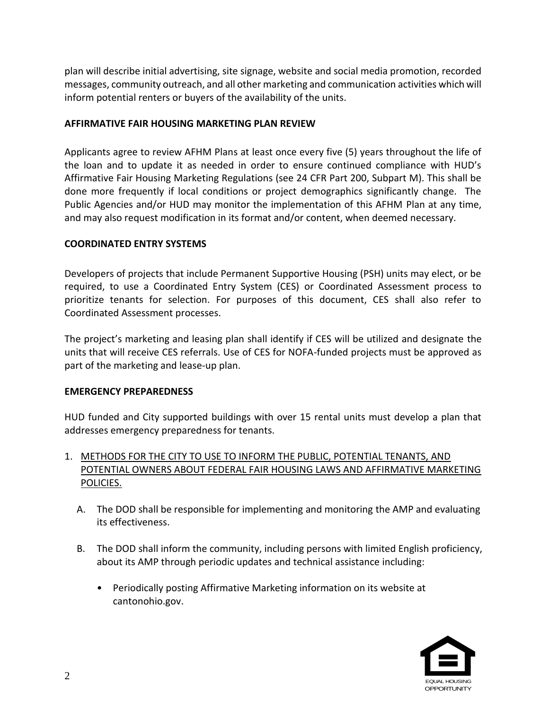plan will describe initial advertising, site signage, website and social media promotion, recorded messages, community outreach, and all other marketing and communication activities which will inform potential renters or buyers of the availability of the units.

# **AFFIRMATIVE FAIR HOUSING MARKETING PLAN REVIEW**

Applicants agree to review AFHM Plans at least once every five (5) years throughout the life of the loan and to update it as needed in order to ensure continued compliance with HUD's Affirmative Fair Housing Marketing Regulations (see 24 CFR Part 200, Subpart M). This shall be done more frequently if local conditions or project demographics significantly change. The Public Agencies and/or HUD may monitor the implementation of this AFHM Plan at any time, and may also request modification in its format and/or content, when deemed necessary.

#### **COORDINATED ENTRY SYSTEMS**

Developers of projects that include Permanent Supportive Housing (PSH) units may elect, or be required, to use a Coordinated Entry System (CES) or Coordinated Assessment process to prioritize tenants for selection. For purposes of this document, CES shall also refer to Coordinated Assessment processes.

The project's marketing and leasing plan shall identify if CES will be utilized and designate the units that will receive CES referrals. Use of CES for NOFA-funded projects must be approved as part of the marketing and lease-up plan.

#### **EMERGENCY PREPAREDNESS**

HUD funded and City supported buildings with over 15 rental units must develop a plan that addresses emergency preparedness for tenants.

# 1. METHODS FOR THE CITY TO USE TO INFORM THE PUBLIC, POTENTIAL TENANTS, AND POTENTIAL OWNERS ABOUT FEDERAL FAIR HOUSING LAWS AND AFFIRMATIVE MARKETING POLICIES.

- A. The DOD shall be responsible for implementing and monitoring the AMP and evaluating its effectiveness.
- B. The DOD shall inform the community, including persons with limited English proficiency, about its AMP through periodic updates and technical assistance including:
	- Periodically posting Affirmative Marketing information on its website at cantonohio.gov.

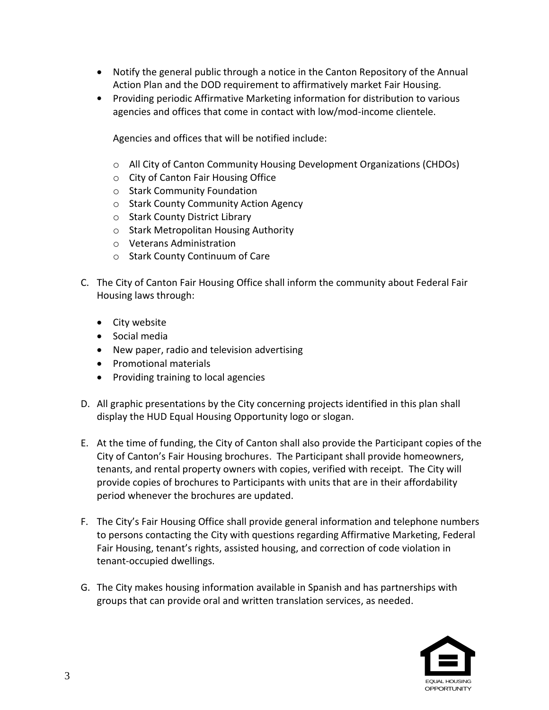- Notify the general public through a notice in the Canton Repository of the Annual Action Plan and the DOD requirement to affirmatively market Fair Housing.
- Providing periodic Affirmative Marketing information for distribution to various agencies and offices that come in contact with low/mod-income clientele.

Agencies and offices that will be notified include:

- $\circ$  All City of Canton Community Housing Development Organizations (CHDOs)
- o City of Canton Fair Housing Office
- o Stark Community Foundation
- o Stark County Community Action Agency
- o Stark County District Library
- o Stark Metropolitan Housing Authority
- o Veterans Administration
- o Stark County Continuum of Care
- C. The City of Canton Fair Housing Office shall inform the community about Federal Fair Housing laws through:
	- City website
	- **•** Social media
	- New paper, radio and television advertising
	- Promotional materials
	- Providing training to local agencies
- D. All graphic presentations by the City concerning projects identified in this plan shall display the HUD Equal Housing Opportunity logo or slogan.
- E. At the time of funding, the City of Canton shall also provide the Participant copies of the City of Canton's Fair Housing brochures. The Participant shall provide homeowners, tenants, and rental property owners with copies, verified with receipt. The City will provide copies of brochures to Participants with units that are in their affordability period whenever the brochures are updated.
- F. The City's Fair Housing Office shall provide general information and telephone numbers to persons contacting the City with questions regarding Affirmative Marketing, Federal Fair Housing, tenant's rights, assisted housing, and correction of code violation in tenant-occupied dwellings.
- G. The City makes housing information available in Spanish and has partnerships with groups that can provide oral and written translation services, as needed.

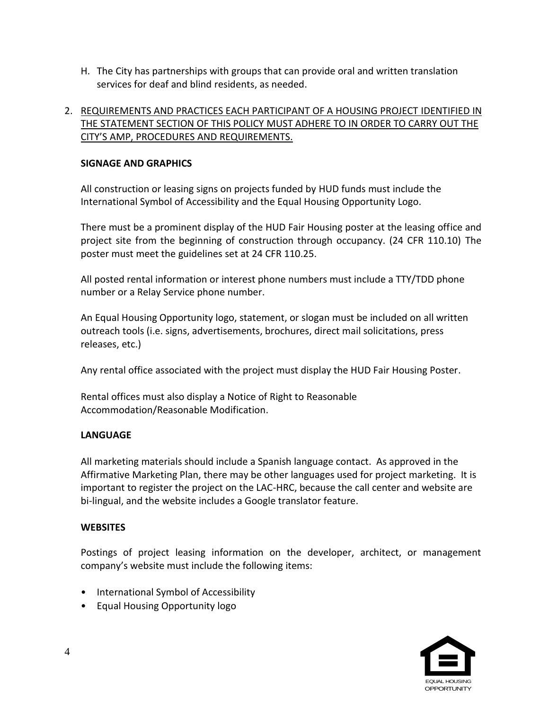H. The City has partnerships with groups that can provide oral and written translation services for deaf and blind residents, as needed.

# 2. REQUIREMENTS AND PRACTICES EACH PARTICIPANT OF A HOUSING PROJECT IDENTIFIED IN THE STATEMENT SECTION OF THIS POLICY MUST ADHERE TO IN ORDER TO CARRY OUT THE CITY'S AMP, PROCEDURES AND REQUIREMENTS.

# **SIGNAGE AND GRAPHICS**

All construction or leasing signs on projects funded by HUD funds must include the International Symbol of Accessibility and the Equal Housing Opportunity Logo.

There must be a prominent display of the HUD Fair Housing poster at the leasing office and project site from the beginning of construction through occupancy. (24 CFR 110.10) The poster must meet the guidelines set at 24 CFR 110.25.

All posted rental information or interest phone numbers must include a TTY/TDD phone number or a Relay Service phone number.

An Equal Housing Opportunity logo, statement, or slogan must be included on all written outreach tools (i.e. signs, advertisements, brochures, direct mail solicitations, press releases, etc.)

Any rental office associated with the project must display the HUD Fair Housing Poster.

Rental offices must also display a Notice of Right to Reasonable Accommodation/Reasonable Modification.

# **LANGUAGE**

All marketing materials should include a Spanish language contact. As approved in the Affirmative Marketing Plan, there may be other languages used for project marketing. It is important to register the project on the LAC-HRC, because the call center and website are bi-lingual, and the website includes a Google translator feature.

# **WEBSITES**

Postings of project leasing information on the developer, architect, or management company's website must include the following items:

- International Symbol of Accessibility
- Equal Housing Opportunity logo

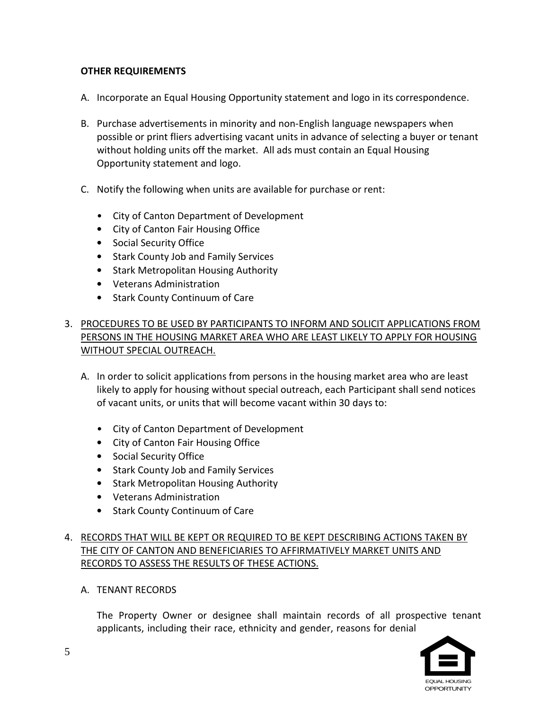# **OTHER REQUIREMENTS**

- A. Incorporate an Equal Housing Opportunity statement and logo in its correspondence.
- B. Purchase advertisements in minority and non-English language newspapers when possible or print fliers advertising vacant units in advance of selecting a buyer or tenant without holding units off the market. All ads must contain an Equal Housing Opportunity statement and logo.
- C. Notify the following when units are available for purchase or rent:
	- City of Canton Department of Development
	- City of Canton Fair Housing Office
	- Social Security Office
	- Stark County Job and Family Services
	- Stark Metropolitan Housing Authority
	- Veterans Administration
	- Stark County Continuum of Care

# 3. PROCEDURES TO BE USED BY PARTICIPANTS TO INFORM AND SOLICIT APPLICATIONS FROM PERSONS IN THE HOUSING MARKET AREA WHO ARE LEAST LIKELY TO APPLY FOR HOUSING WITHOUT SPECIAL OUTREACH.

- A. In order to solicit applications from persons in the housing market area who are least likely to apply for housing without special outreach, each Participant shall send notices of vacant units, or units that will become vacant within 30 days to:
	- City of Canton Department of Development
	- City of Canton Fair Housing Office
	- Social Security Office
	- Stark County Job and Family Services
	- Stark Metropolitan Housing Authority
	- Veterans Administration
	- Stark County Continuum of Care

# 4. RECORDS THAT WILL BE KEPT OR REQUIRED TO BE KEPT DESCRIBING ACTIONS TAKEN BY THE CITY OF CANTON AND BENEFICIARIES TO AFFIRMATIVELY MARKET UNITS AND RECORDS TO ASSESS THE RESULTS OF THESE ACTIONS.

A. TENANT RECORDS

The Property Owner or designee shall maintain records of all prospective tenant applicants, including their race, ethnicity and gender, reasons for denial

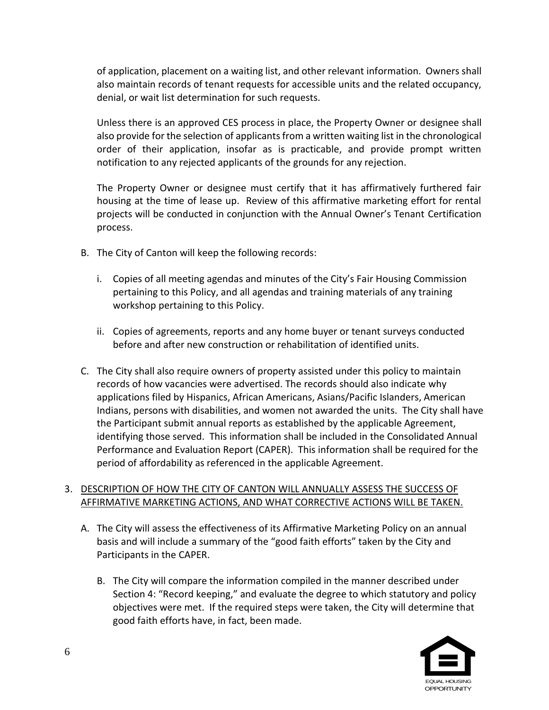of application, placement on a waiting list, and other relevant information. Owners shall also maintain records of tenant requests for accessible units and the related occupancy, denial, or wait list determination for such requests.

Unless there is an approved CES process in place, the Property Owner or designee shall also provide for the selection of applicants from a written waiting list in the chronological order of their application, insofar as is practicable, and provide prompt written notification to any rejected applicants of the grounds for any rejection.

The Property Owner or designee must certify that it has affirmatively furthered fair housing at the time of lease up. Review of this affirmative marketing effort for rental projects will be conducted in conjunction with the Annual Owner's Tenant Certification process.

- B. The City of Canton will keep the following records:
	- i. Copies of all meeting agendas and minutes of the City's Fair Housing Commission pertaining to this Policy, and all agendas and training materials of any training workshop pertaining to this Policy.
	- ii. Copies of agreements, reports and any home buyer or tenant surveys conducted before and after new construction or rehabilitation of identified units.
- C. The City shall also require owners of property assisted under this policy to maintain records of how vacancies were advertised. The records should also indicate why applications filed by Hispanics, African Americans, Asians/Pacific Islanders, American Indians, persons with disabilities, and women not awarded the units. The City shall have the Participant submit annual reports as established by the applicable Agreement, identifying those served. This information shall be included in the Consolidated Annual Performance and Evaluation Report (CAPER). This information shall be required for the period of affordability as referenced in the applicable Agreement.

# 3. DESCRIPTION OF HOW THE CITY OF CANTON WILL ANNUALLY ASSESS THE SUCCESS OF AFFIRMATIVE MARKETING ACTIONS, AND WHAT CORRECTIVE ACTIONS WILL BE TAKEN.

- A. The City will assess the effectiveness of its Affirmative Marketing Policy on an annual basis and will include a summary of the "good faith efforts" taken by the City and Participants in the CAPER.
	- B. The City will compare the information compiled in the manner described under Section 4: "Record keeping," and evaluate the degree to which statutory and policy objectives were met. If the required steps were taken, the City will determine that good faith efforts have, in fact, been made.